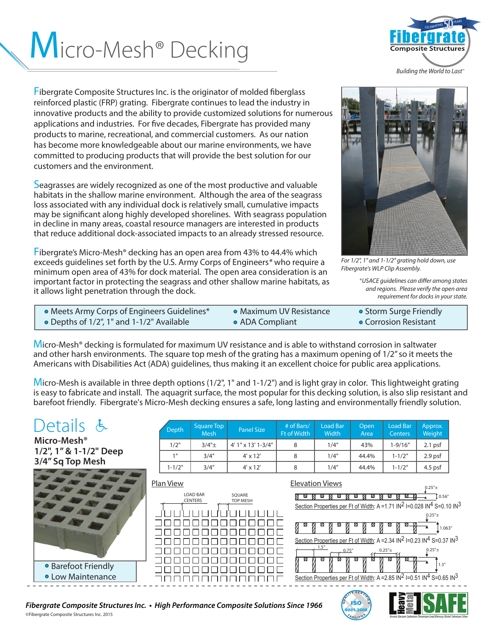# Micro-Mesh® Decking



*Building the World to Last™*

Fibergrate Composite Structures Inc. is the originator of molded fiberglass reinforced plastic (FRP) grating. Fibergrate continues to lead the industry in innovative products and the ability to provide customized solutions for numerous applications and industries. For five decades, Fibergrate has provided many products to marine, recreational, and commercial customers. As our nation has become more knowledgeable about our marine environments, we have committed to producing products that will provide the best solution for our customers and the environment.

Seagrasses are widely recognized as one of the most productive and valuable habitats in the shallow marine environment. Although the area of the seagrass loss associated with any individual dock is relatively small, cumulative impacts may be significant along highly developed shorelines. With seagrass population in decline in many areas, coastal resource managers are interested in products that reduce additional dock-associated impacts to an already stressed resource.

Fibergrate's Micro-Mesh® decking has an open area from 43% to 44.4% which exceeds guidelines set forth by the U.S. Army Corps of Engineers*\** who require a minimum open area of 43% for dock material. The open area consideration is an important factor in protecting the seagrass and other shallow marine habitats, as it allows light penetration through the dock.



*For 1/2", 1" and 1-1/2" grating hold down, use Fibergrate's WLP Clip Assembly.* 

\**USACE guidelines can differ among states and regions. Please verify the open area requirement for docks in your state.*

 $\begin{bmatrix} 150 \\ -200 \\ -1000 \end{bmatrix}$ 

9001-2008

 $\epsilon$   $\epsilon$   $\epsilon$ **<sup>I</sup> <sup>T</sup> <sup>I</sup> <sup>E</sup>**

| • Meets Army Corps of Engineers Guidelines* | • Maximum UV Resistance | • Storm Surge Friendly |
|---------------------------------------------|-------------------------|------------------------|
| • Depths of 1/2", 1" and 1-1/2" Available   | • ADA Compliant         | • Corrosion Resistant  |

Micro-Mesh® decking is formulated for maximum UV resistance and is able to withstand corrosion in saltwater and other harsh environments. The square top mesh of the grating has a maximum opening of 1/2" so it meets the Americans with Disabilities Act (ADA) guidelines, thus making it an excellent choice for public area applications.

Micro-Mesh is available in three depth options (1/2", 1" and 1-1/2") and is light gray in color. This lightweight grating is easy to fabricate and install. The aquagrit surface, the most popular for this decking solution, is also slip resistant and barefoot friendly. Fibergrate's Micro-Mesh decking ensures a safe, long lasting and environmentally friendly solution.

#### etails Depth Square Top Load Bar **Open** Load Bar Approx. Mesh Panel Size # of Bars/ Ft of Width **Width Centers** Weight Area **Micro-Mesh®**   $1/2$ " 3/4" $\pm$  4' 1" x 13' 1-3/4" 8 1/4" 43% 1-9/16" 2.1 psf **1/2", 1" & 1-1/2" Deep**  1" | 3/4" | 4' x 12' | 8 | 1/4" | 44.4% | 1-1/2" | 2.9 psf **3/4" Sq Top Mesh**  1-1/2" | 3/4" | 4' x 12' | 8 | 1/4" | 44.4% | 1-1/2" | 4.5 psf Plan View Elevation Views  $0.25"$ ± ▲ LOAD BAR SQUARE <u>aa aa aa aa aa aa aa aa a</u>  $\overline{1}$  0.56" **CENTERS** TOP MESH Section Properties per Ft of Width: A = 1.71 IN<sup>2</sup> I=0.028 IN<sup>4</sup> S=0.10 IN<sup>3</sup> JUUUUL  $0.25"$ + 888888888888 ▲  $\int_0^{\frac{\pi}{4}} 1.063''$ ▲ 000000000000 3888888888888 Section Properties per Ft of Width: A = 2.34  $IN^2$  I=0.23  $IN^4$  S=0.37  $IN^3$  $\frac{1.5^{n}}{2}$  0.75" (0.25"± 88888888888  $0.25"$ ± ▲ 000000000000 ▲ Barefoot Friendly ▲ ▲1.5" 000000000000 Low Maintenance Section Properties per Ft of Width: A = 2.85 IN<sup>2</sup> I=0.51 IN<sup>4</sup> S=0.65 IN<sup>3</sup> 10000000000000 - - - - - - - - - - - - - - - - - - - - - - - - - - - - - - - - - - - - - - - - - - - - - - - - - - - - - - - - - - - - - - - - - - - - - - - - - - - - **CERTIA Arsenic Barium Cadmium Chromium Lead Mercury Nickel Selenium Silver**

## *Fibergrate Composite Structures Inc. • High Performance Composite Solutions Since 1966*